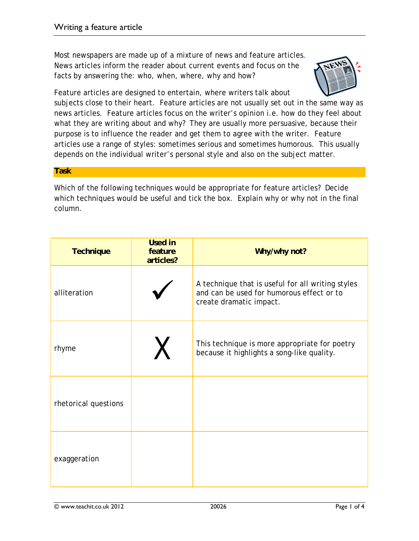Most newspapers are made up of a mixture of news and feature articles. News articles inform the reader about current events and focus on the facts by answering the: who, when, where, why and how?



Feature articles are designed to entertain, where writers talk about

subjects close to their heart. Feature articles are not usually set out in the same way as news articles. Feature articles focus on the writer's opinion i.e. how do they feel about what they are writing about and why? They are usually more persuasive, because their purpose is to influence the reader and get them to agree with the writer. Feature articles use a range of styles: sometimes serious and sometimes humorous. This usually depends on the individual writer's personal style and also on the subject matter.

## **Task**

Which of the following techniques would be appropriate for feature articles? Decide which techniques would be useful and tick the box. Explain why or why not in the final column.

| <b>Technique</b>     | <b>Used in</b><br>feature<br>articles? | Why/why not?                                                                                                              |
|----------------------|----------------------------------------|---------------------------------------------------------------------------------------------------------------------------|
| alliteration         |                                        | A technique that is useful for all writing styles<br>and can be used for humorous effect or to<br>create dramatic impact. |
| rhyme                |                                        | This technique is more appropriate for poetry<br>because it highlights a song-like quality.                               |
| rhetorical questions |                                        |                                                                                                                           |
| exaggeration         |                                        |                                                                                                                           |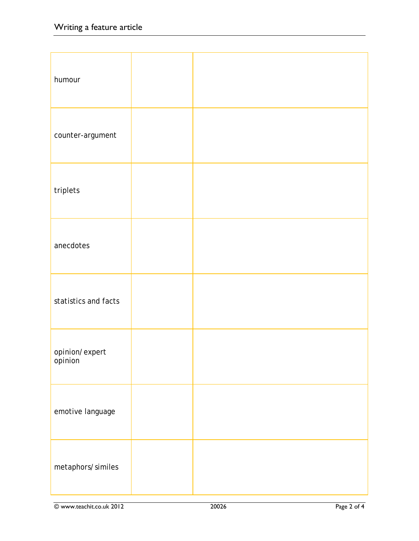| humour                    |  |
|---------------------------|--|
| counter-argument          |  |
| triplets                  |  |
| anecdotes                 |  |
| statistics and facts      |  |
| opinion/expert<br>opinion |  |
| emotive language          |  |
| metaphors/similes         |  |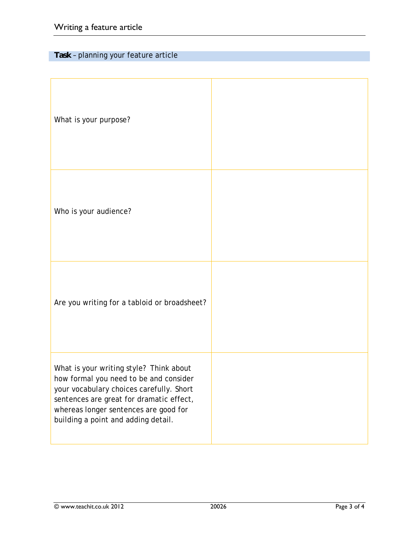## **Task** – planning your feature article

| What is your purpose?                                                                                                                                                                                                                                     |  |
|-----------------------------------------------------------------------------------------------------------------------------------------------------------------------------------------------------------------------------------------------------------|--|
| Who is your audience?                                                                                                                                                                                                                                     |  |
| Are you writing for a tabloid or broadsheet?                                                                                                                                                                                                              |  |
| What is your writing style? Think about<br>how formal you need to be and consider<br>your vocabulary choices carefully. Short<br>sentences are great for dramatic effect,<br>whereas longer sentences are good for<br>building a point and adding detail. |  |